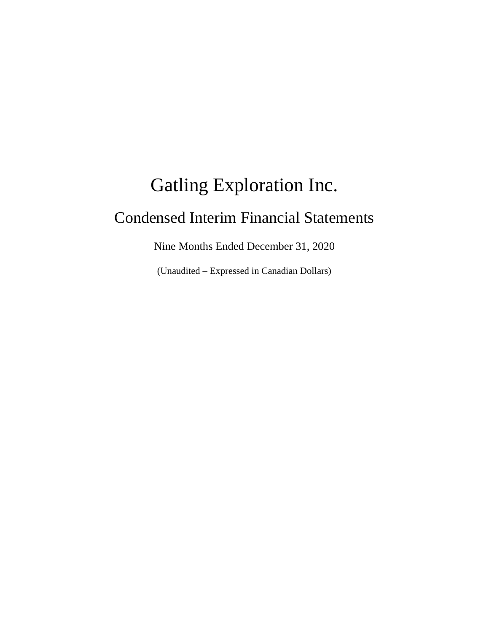# Gatling Exploration Inc. Condensed Interim Financial Statements

Nine Months Ended December 31, 2020

(Unaudited – Expressed in Canadian Dollars)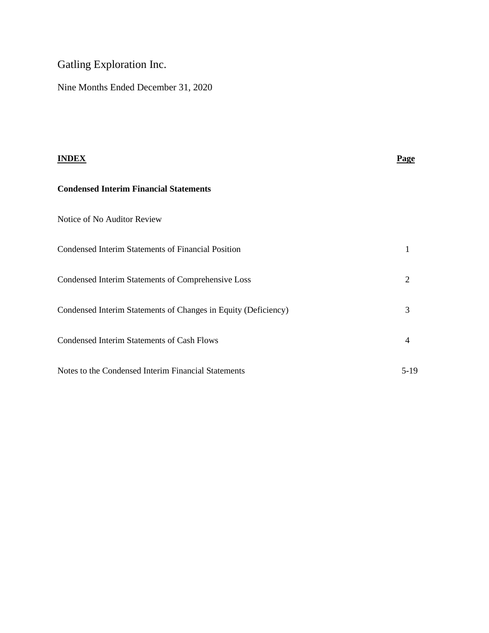# Gatling Exploration Inc.

Nine Months Ended December 31, 2020

| <b>INDEX</b>                                                   | <b>Page</b>    |
|----------------------------------------------------------------|----------------|
| <b>Condensed Interim Financial Statements</b>                  |                |
| Notice of No Auditor Review                                    |                |
| <b>Condensed Interim Statements of Financial Position</b>      | 1              |
| Condensed Interim Statements of Comprehensive Loss             | 2              |
| Condensed Interim Statements of Changes in Equity (Deficiency) | 3              |
| <b>Condensed Interim Statements of Cash Flows</b>              | $\overline{4}$ |
| Notes to the Condensed Interim Financial Statements            | $5-19$         |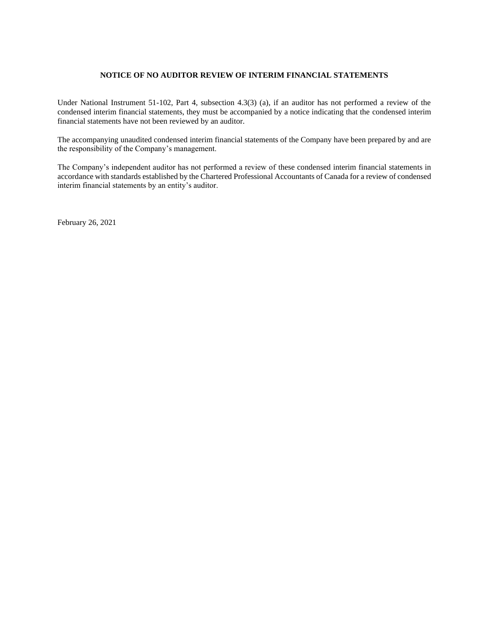#### **NOTICE OF NO AUDITOR REVIEW OF INTERIM FINANCIAL STATEMENTS**

Under National Instrument 51-102, Part 4, subsection 4.3(3) (a), if an auditor has not performed a review of the condensed interim financial statements, they must be accompanied by a notice indicating that the condensed interim financial statements have not been reviewed by an auditor.

The accompanying unaudited condensed interim financial statements of the Company have been prepared by and are the responsibility of the Company's management.

The Company's independent auditor has not performed a review of these condensed interim financial statements in accordance with standards established by the Chartered Professional Accountants of Canada for a review of condensed interim financial statements by an entity's auditor.

February 26, 2021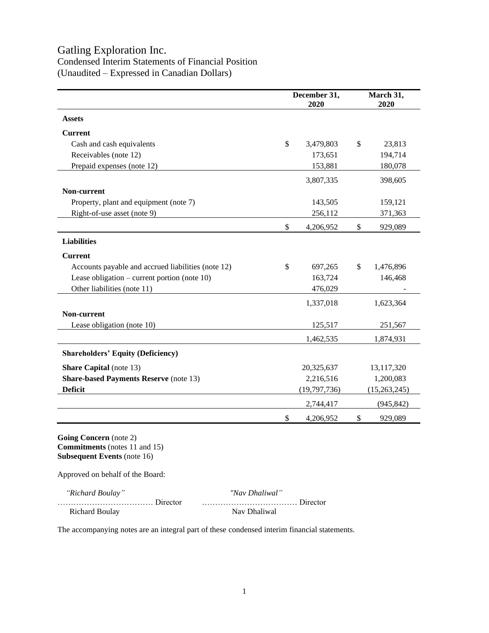## Gatling Exploration Inc.

## Condensed Interim Statements of Financial Position (Unaudited – Expressed in Canadian Dollars)

|                                                    |              | December 31,<br>2020 |    | March 31,<br>2020 |
|----------------------------------------------------|--------------|----------------------|----|-------------------|
| <b>Assets</b>                                      |              |                      |    |                   |
| <b>Current</b>                                     |              |                      |    |                   |
| Cash and cash equivalents                          | $\mathbb{S}$ | 3,479,803            | \$ | 23,813            |
| Receivables (note 12)                              |              | 173,651              |    | 194,714           |
| Prepaid expenses (note 12)                         |              | 153,881              |    | 180,078           |
|                                                    |              | 3,807,335            |    | 398,605           |
| Non-current                                        |              |                      |    |                   |
| Property, plant and equipment (note 7)             |              | 143,505              |    | 159,121           |
| Right-of-use asset (note 9)                        |              | 256,112              |    | 371,363           |
|                                                    | \$           | 4,206,952            | \$ | 929,089           |
| <b>Liabilities</b>                                 |              |                      |    |                   |
| <b>Current</b>                                     |              |                      |    |                   |
| Accounts payable and accrued liabilities (note 12) | \$           | 697,265              | \$ | 1,476,896         |
| Lease obligation – current portion (note $10$ )    |              | 163,724              |    | 146,468           |
| Other liabilities (note 11)                        |              | 476,029              |    |                   |
|                                                    |              | 1,337,018            |    | 1,623,364         |
| Non-current                                        |              |                      |    |                   |
| Lease obligation (note 10)                         |              | 125,517              |    | 251,567           |
|                                                    |              | 1,462,535            |    | 1,874,931         |
| <b>Shareholders' Equity (Deficiency)</b>           |              |                      |    |                   |
| <b>Share Capital</b> (note 13)                     |              | 20,325,637           |    | 13,117,320        |
| <b>Share-based Payments Reserve (note 13)</b>      |              | 2,216,516            |    | 1,200,083         |
| <b>Deficit</b>                                     |              | (19,797,736)         |    | (15,263,245)      |
|                                                    |              | 2,744,417            |    | (945, 842)        |
|                                                    | \$           | 4,206,952            | \$ | 929,089           |

**Going Concern** (note 2) **Commitments** (notes 11 and 15) **Subsequent Events** (note 16)

Approved on behalf of the Board:

| "Richard Boulay"      | "Nav Dhaliwal" |
|-----------------------|----------------|
|                       |                |
| <b>Richard Boulay</b> | Nav Dhaliwal   |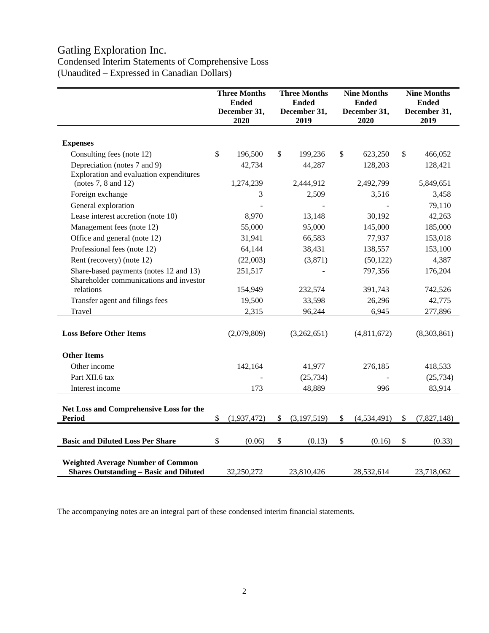# Gatling Exploration Inc.

## Condensed Interim Statements of Comprehensive Loss (Unaudited – Expressed in Canadian Dollars)

|                                                                                           | <b>Three Months</b><br><b>Ended</b><br>December 31,<br>2020 |             | <b>Three Months</b><br><b>Ended</b><br>December 31,<br>2019 |             | <b>Nine Months</b><br><b>Ended</b><br>December 31,<br>2020 |             | <b>Nine Months</b><br><b>Ended</b><br>December 31,<br>2019 |
|-------------------------------------------------------------------------------------------|-------------------------------------------------------------|-------------|-------------------------------------------------------------|-------------|------------------------------------------------------------|-------------|------------------------------------------------------------|
| <b>Expenses</b>                                                                           |                                                             |             |                                                             |             |                                                            |             |                                                            |
| Consulting fees (note 12)                                                                 | \$                                                          | 196,500     | \$                                                          | 199,236     | $\mathbb{S}$                                               | 623,250     | \$<br>466,052                                              |
| Depreciation (notes 7 and 9)                                                              |                                                             | 42,734      |                                                             | 44,287      |                                                            | 128,203     | 128,421                                                    |
| Exploration and evaluation expenditures                                                   |                                                             |             |                                                             |             |                                                            |             |                                                            |
| (notes $7, 8$ and $12$ )                                                                  |                                                             | 1,274,239   |                                                             | 2,444,912   |                                                            | 2,492,799   | 5,849,651                                                  |
| Foreign exchange                                                                          |                                                             | 3           |                                                             | 2,509       |                                                            | 3,516       | 3,458                                                      |
| General exploration                                                                       |                                                             |             |                                                             |             |                                                            |             | 79,110                                                     |
| Lease interest accretion (note 10)                                                        |                                                             | 8,970       |                                                             | 13,148      |                                                            | 30,192      | 42,263                                                     |
| Management fees (note 12)                                                                 |                                                             | 55,000      |                                                             | 95,000      |                                                            | 145,000     | 185,000                                                    |
| Office and general (note 12)                                                              |                                                             | 31,941      |                                                             | 66,583      |                                                            | 77,937      | 153,018                                                    |
| Professional fees (note 12)                                                               |                                                             | 64,144      |                                                             | 38,431      |                                                            | 138,557     | 153,100                                                    |
| Rent (recovery) (note 12)                                                                 |                                                             | (22,003)    |                                                             | (3,871)     |                                                            | (50, 122)   | 4,387                                                      |
| Share-based payments (notes 12 and 13)                                                    |                                                             | 251,517     |                                                             |             |                                                            | 797,356     | 176,204                                                    |
| Shareholder communications and investor                                                   |                                                             |             |                                                             |             |                                                            |             |                                                            |
| relations                                                                                 |                                                             | 154,949     |                                                             | 232,574     |                                                            | 391,743     | 742,526                                                    |
| Transfer agent and filings fees                                                           |                                                             | 19,500      |                                                             | 33,598      |                                                            | 26,296      | 42,775                                                     |
| Travel                                                                                    |                                                             | 2,315       |                                                             | 96,244      |                                                            | 6,945       | 277,896                                                    |
| <b>Loss Before Other Items</b>                                                            |                                                             | (2,079,809) |                                                             | (3,262,651) |                                                            | (4,811,672) | (8,303,861)                                                |
| <b>Other Items</b>                                                                        |                                                             |             |                                                             |             |                                                            |             |                                                            |
| Other income                                                                              |                                                             | 142,164     |                                                             | 41,977      |                                                            | 276,185     | 418,533                                                    |
| Part XII.6 tax                                                                            |                                                             |             |                                                             | (25, 734)   |                                                            |             | (25, 734)                                                  |
| Interest income                                                                           |                                                             | 173         |                                                             | 48,889      |                                                            | 996         | 83,914                                                     |
| Net Loss and Comprehensive Loss for the<br><b>Period</b>                                  | \$                                                          | (1,937,472) | \$                                                          | (3,197,519) | \$                                                         | (4,534,491) | \$<br>(7,827,148)                                          |
|                                                                                           |                                                             |             |                                                             |             |                                                            |             |                                                            |
| <b>Basic and Diluted Loss Per Share</b>                                                   | \$                                                          | (0.06)      | $\$\,$                                                      | (0.13)      | $\$$                                                       | (0.16)      | \$<br>(0.33)                                               |
| <b>Weighted Average Number of Common</b><br><b>Shares Outstanding - Basic and Diluted</b> |                                                             | 32,250,272  |                                                             | 23,810,426  |                                                            | 28,532,614  | 23,718,062                                                 |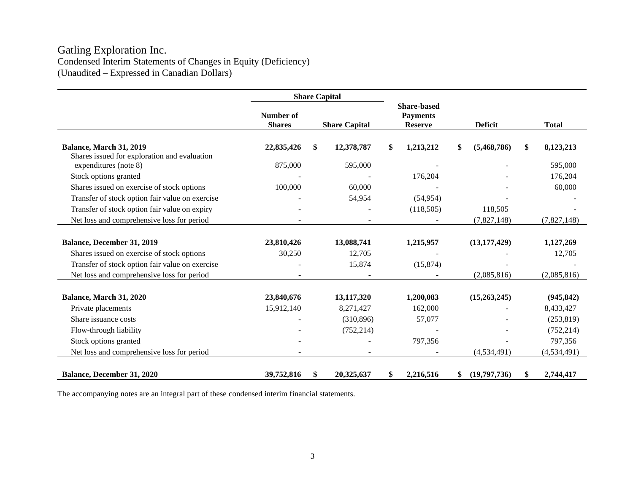## Gatling Exploration Inc. Condensed Interim Statements of Changes in Equity (Deficiency) (Unaudited – Expressed in Canadian Dollars)

|                                                                       | <b>Share Capital</b>       |    |                      |    |                                                         |    |                |                 |
|-----------------------------------------------------------------------|----------------------------|----|----------------------|----|---------------------------------------------------------|----|----------------|-----------------|
|                                                                       | Number of<br><b>Shares</b> |    | <b>Share Capital</b> |    | <b>Share-based</b><br><b>Payments</b><br><b>Reserve</b> |    | <b>Deficit</b> | <b>Total</b>    |
| Balance, March 31, 2019                                               | 22,835,426                 | \$ | 12,378,787           | \$ | 1,213,212                                               | \$ | (5,468,786)    | \$<br>8,123,213 |
| Shares issued for exploration and evaluation<br>expenditures (note 8) | 875,000                    |    | 595,000              |    |                                                         |    |                | 595,000         |
| Stock options granted                                                 |                            |    |                      |    | 176,204                                                 |    |                | 176,204         |
| Shares issued on exercise of stock options                            | 100,000                    |    | 60,000               |    |                                                         |    |                | 60,000          |
| Transfer of stock option fair value on exercise                       |                            |    | 54,954               |    | (54, 954)                                               |    |                |                 |
| Transfer of stock option fair value on expiry                         |                            |    |                      |    | (118,505)                                               |    | 118,505        |                 |
| Net loss and comprehensive loss for period                            |                            |    |                      |    |                                                         |    | (7,827,148)    | (7,827,148)     |
|                                                                       |                            |    |                      |    |                                                         |    |                |                 |
| Balance, December 31, 2019                                            | 23,810,426                 |    | 13,088,741           |    | 1,215,957                                               |    | (13, 177, 429) | 1,127,269       |
| Shares issued on exercise of stock options                            | 30,250                     |    | 12,705               |    |                                                         |    |                | 12,705          |
| Transfer of stock option fair value on exercise                       |                            |    | 15,874               |    | (15, 874)                                               |    |                |                 |
| Net loss and comprehensive loss for period                            |                            |    |                      |    |                                                         |    | (2,085,816)    | (2,085,816)     |
|                                                                       |                            |    |                      |    |                                                         |    |                |                 |
| Balance, March 31, 2020                                               | 23,840,676                 |    | 13,117,320           |    | 1,200,083                                               |    | (15,263,245)   | (945, 842)      |
| Private placements                                                    | 15,912,140                 |    | 8,271,427            |    | 162,000                                                 |    |                | 8,433,427       |
| Share issuance costs                                                  |                            |    | (310, 896)           |    | 57,077                                                  |    |                | (253, 819)      |
| Flow-through liability                                                |                            |    | (752, 214)           |    |                                                         |    |                | (752, 214)      |
| Stock options granted                                                 |                            |    |                      |    | 797,356                                                 |    |                | 797,356         |
| Net loss and comprehensive loss for period                            |                            |    |                      |    |                                                         |    | (4,534,491)    | (4, 534, 491)   |
| Balance, December 31, 2020                                            | 39,752,816                 | \$ | 20,325,637           | \$ | 2,216,516                                               | \$ | (19,797,736)   | \$<br>2,744,417 |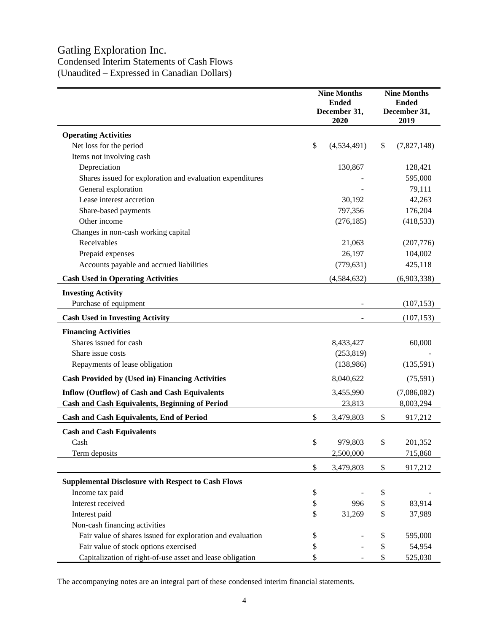# Gatling Exploration Inc.

Condensed Interim Statements of Cash Flows (Unaudited – Expressed in Canadian Dollars)

|                                                            |               | <b>Nine Months</b><br><b>Ended</b><br>December 31,<br>2020 | <b>Nine Months</b><br><b>Ended</b><br>December 31,<br>2019 |             |  |  |
|------------------------------------------------------------|---------------|------------------------------------------------------------|------------------------------------------------------------|-------------|--|--|
| <b>Operating Activities</b>                                |               |                                                            |                                                            |             |  |  |
| Net loss for the period                                    | \$            | (4,534,491)                                                | \$                                                         | (7,827,148) |  |  |
| Items not involving cash                                   |               |                                                            |                                                            |             |  |  |
| Depreciation                                               |               | 130,867                                                    |                                                            | 128,421     |  |  |
| Shares issued for exploration and evaluation expenditures  |               |                                                            |                                                            | 595,000     |  |  |
| General exploration                                        |               |                                                            |                                                            | 79,111      |  |  |
| Lease interest accretion                                   |               | 30,192                                                     |                                                            | 42,263      |  |  |
| Share-based payments                                       |               | 797,356                                                    |                                                            | 176,204     |  |  |
| Other income                                               |               | (276, 185)                                                 |                                                            | (418, 533)  |  |  |
| Changes in non-cash working capital                        |               |                                                            |                                                            |             |  |  |
| Receivables                                                |               | 21,063                                                     |                                                            | (207,776)   |  |  |
| Prepaid expenses                                           |               | 26,197                                                     |                                                            | 104,002     |  |  |
| Accounts payable and accrued liabilities                   |               | (779, 631)                                                 |                                                            | 425,118     |  |  |
| <b>Cash Used in Operating Activities</b>                   |               | (4, 584, 632)                                              |                                                            | (6,903,338) |  |  |
| <b>Investing Activity</b>                                  |               |                                                            |                                                            |             |  |  |
| Purchase of equipment                                      |               |                                                            |                                                            | (107, 153)  |  |  |
| <b>Cash Used in Investing Activity</b>                     |               |                                                            |                                                            | (107, 153)  |  |  |
| <b>Financing Activities</b>                                |               |                                                            |                                                            |             |  |  |
| Shares issued for cash                                     |               | 8,433,427                                                  |                                                            | 60,000      |  |  |
| Share issue costs                                          |               | (253, 819)                                                 |                                                            |             |  |  |
| Repayments of lease obligation                             |               | (138,986)                                                  |                                                            | (135,591)   |  |  |
| <b>Cash Provided by (Used in) Financing Activities</b>     |               | 8,040,622                                                  |                                                            | (75, 591)   |  |  |
| <b>Inflow (Outflow) of Cash and Cash Equivalents</b>       |               | 3,455,990                                                  |                                                            | (7,086,082) |  |  |
| <b>Cash and Cash Equivalents, Beginning of Period</b>      |               | 23,813                                                     |                                                            | 8,003,294   |  |  |
| <b>Cash and Cash Equivalents, End of Period</b>            | \$            | 3,479,803                                                  | \$                                                         | 917,212     |  |  |
| <b>Cash and Cash Equivalents</b>                           |               |                                                            |                                                            |             |  |  |
| Cash                                                       | $\mathcal{S}$ | 979,803                                                    | $\mathbb{S}$                                               | 201.352     |  |  |
| Term deposits                                              |               | 2,500,000                                                  |                                                            | 715,860     |  |  |
|                                                            |               |                                                            |                                                            |             |  |  |
|                                                            | \$            | 3,479,803                                                  | \$                                                         | 917,212     |  |  |
| <b>Supplemental Disclosure with Respect to Cash Flows</b>  |               |                                                            |                                                            |             |  |  |
| Income tax paid                                            | \$            |                                                            | \$                                                         |             |  |  |
| Interest received                                          | \$            | 996                                                        | \$                                                         | 83,914      |  |  |
| Interest paid                                              | \$            | 31,269                                                     | \$                                                         | 37,989      |  |  |
| Non-cash financing activities                              |               |                                                            |                                                            |             |  |  |
| Fair value of shares issued for exploration and evaluation | \$            |                                                            | \$                                                         | 595,000     |  |  |
| Fair value of stock options exercised                      | \$            |                                                            | \$                                                         | 54,954      |  |  |
| Capitalization of right-of-use asset and lease obligation  | \$            |                                                            | \$                                                         | 525,030     |  |  |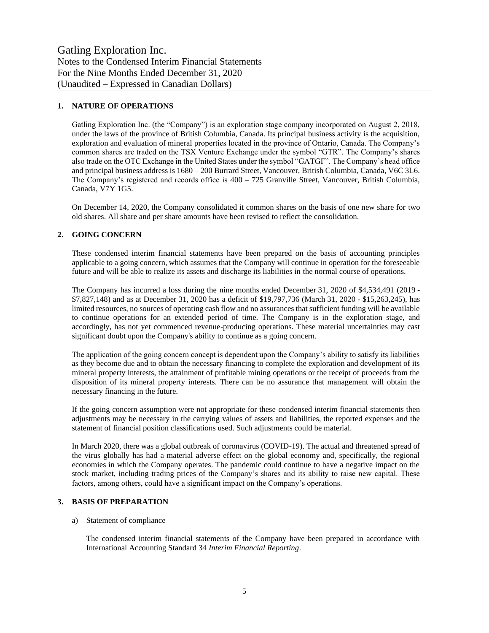#### **1. NATURE OF OPERATIONS**

Gatling Exploration Inc. (the "Company") is an exploration stage company incorporated on August 2, 2018, under the laws of the province of British Columbia, Canada. Its principal business activity is the acquisition, exploration and evaluation of mineral properties located in the province of Ontario, Canada. The Company's common shares are traded on the TSX Venture Exchange under the symbol "GTR". The Company's shares also trade on the OTC Exchange in the United States under the symbol "GATGF". The Company's head office and principal business address is 1680 – 200 Burrard Street, Vancouver, British Columbia, Canada, V6C 3L6. The Company's registered and records office is 400 – 725 Granville Street, Vancouver, British Columbia, Canada, V7Y 1G5.

On December 14, 2020, the Company consolidated it common shares on the basis of one new share for two old shares. All share and per share amounts have been revised to reflect the consolidation.

#### **2. GOING CONCERN**

These condensed interim financial statements have been prepared on the basis of accounting principles applicable to a going concern, which assumes that the Company will continue in operation for the foreseeable future and will be able to realize its assets and discharge its liabilities in the normal course of operations.

The Company has incurred a loss during the nine months ended December 31, 2020 of \$4,534,491 (2019 - \$7,827,148) and as at December 31, 2020 has a deficit of \$19,797,736 (March 31, 2020 - \$15,263,245), has limited resources, no sources of operating cash flow and no assurances that sufficient funding will be available to continue operations for an extended period of time. The Company is in the exploration stage, and accordingly, has not yet commenced revenue-producing operations. These material uncertainties may cast significant doubt upon the Company's ability to continue as a going concern.

The application of the going concern concept is dependent upon the Company's ability to satisfy its liabilities as they become due and to obtain the necessary financing to complete the exploration and development of its mineral property interests, the attainment of profitable mining operations or the receipt of proceeds from the disposition of its mineral property interests. There can be no assurance that management will obtain the necessary financing in the future.

If the going concern assumption were not appropriate for these condensed interim financial statements then adjustments may be necessary in the carrying values of assets and liabilities, the reported expenses and the statement of financial position classifications used. Such adjustments could be material.

In March 2020, there was a global outbreak of coronavirus (COVID-19). The actual and threatened spread of the virus globally has had a material adverse effect on the global economy and, specifically, the regional economies in which the Company operates. The pandemic could continue to have a negative impact on the stock market, including trading prices of the Company's shares and its ability to raise new capital. These factors, among others, could have a significant impact on the Company's operations.

#### **3. BASIS OF PREPARATION**

#### a) Statement of compliance

The condensed interim financial statements of the Company have been prepared in accordance with International Accounting Standard 34 *Interim Financial Reporting*.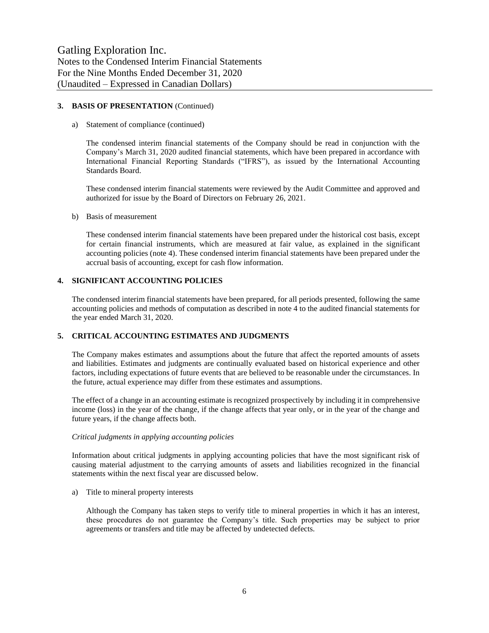#### **3. BASIS OF PRESENTATION** (Continued)

#### a) Statement of compliance (continued)

The condensed interim financial statements of the Company should be read in conjunction with the Company's March 31, 2020 audited financial statements, which have been prepared in accordance with International Financial Reporting Standards ("IFRS"), as issued by the International Accounting Standards Board.

These condensed interim financial statements were reviewed by the Audit Committee and approved and authorized for issue by the Board of Directors on February 26, 2021.

#### b) Basis of measurement

These condensed interim financial statements have been prepared under the historical cost basis, except for certain financial instruments, which are measured at fair value, as explained in the significant accounting policies (note 4). These condensed interim financial statements have been prepared under the accrual basis of accounting, except for cash flow information.

#### **4. SIGNIFICANT ACCOUNTING POLICIES**

The condensed interim financial statements have been prepared, for all periods presented, following the same accounting policies and methods of computation as described in note 4 to the audited financial statements for the year ended March 31, 2020.

#### **5. CRITICAL ACCOUNTING ESTIMATES AND JUDGMENTS**

The Company makes estimates and assumptions about the future that affect the reported amounts of assets and liabilities. Estimates and judgments are continually evaluated based on historical experience and other factors, including expectations of future events that are believed to be reasonable under the circumstances. In the future, actual experience may differ from these estimates and assumptions.

The effect of a change in an accounting estimate is recognized prospectively by including it in comprehensive income (loss) in the year of the change, if the change affects that year only, or in the year of the change and future years, if the change affects both.

#### *Critical judgments in applying accounting policies*

Information about critical judgments in applying accounting policies that have the most significant risk of causing material adjustment to the carrying amounts of assets and liabilities recognized in the financial statements within the next fiscal year are discussed below.

a) Title to mineral property interests

Although the Company has taken steps to verify title to mineral properties in which it has an interest, these procedures do not guarantee the Company's title. Such properties may be subject to prior agreements or transfers and title may be affected by undetected defects.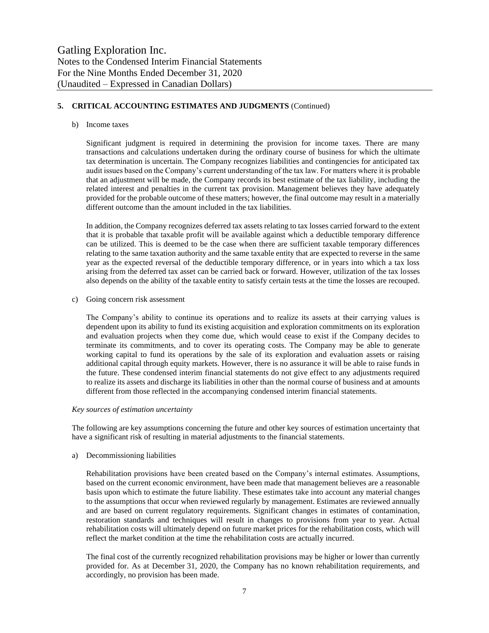#### **5. CRITICAL ACCOUNTING ESTIMATES AND JUDGMENTS** (Continued)

#### b) Income taxes

Significant judgment is required in determining the provision for income taxes. There are many transactions and calculations undertaken during the ordinary course of business for which the ultimate tax determination is uncertain. The Company recognizes liabilities and contingencies for anticipated tax audit issues based on the Company's current understanding of the tax law. For matters where it is probable that an adjustment will be made, the Company records its best estimate of the tax liability, including the related interest and penalties in the current tax provision. Management believes they have adequately provided for the probable outcome of these matters; however, the final outcome may result in a materially different outcome than the amount included in the tax liabilities.

In addition, the Company recognizes deferred tax assets relating to tax losses carried forward to the extent that it is probable that taxable profit will be available against which a deductible temporary difference can be utilized. This is deemed to be the case when there are sufficient taxable temporary differences relating to the same taxation authority and the same taxable entity that are expected to reverse in the same year as the expected reversal of the deductible temporary difference, or in years into which a tax loss arising from the deferred tax asset can be carried back or forward. However, utilization of the tax losses also depends on the ability of the taxable entity to satisfy certain tests at the time the losses are recouped.

c) Going concern risk assessment

The Company's ability to continue its operations and to realize its assets at their carrying values is dependent upon its ability to fund its existing acquisition and exploration commitments on its exploration and evaluation projects when they come due, which would cease to exist if the Company decides to terminate its commitments, and to cover its operating costs. The Company may be able to generate working capital to fund its operations by the sale of its exploration and evaluation assets or raising additional capital through equity markets. However, there is no assurance it will be able to raise funds in the future. These condensed interim financial statements do not give effect to any adjustments required to realize its assets and discharge its liabilities in other than the normal course of business and at amounts different from those reflected in the accompanying condensed interim financial statements.

#### *Key sources of estimation uncertainty*

The following are key assumptions concerning the future and other key sources of estimation uncertainty that have a significant risk of resulting in material adjustments to the financial statements.

#### a) Decommissioning liabilities

Rehabilitation provisions have been created based on the Company's internal estimates. Assumptions, based on the current economic environment, have been made that management believes are a reasonable basis upon which to estimate the future liability. These estimates take into account any material changes to the assumptions that occur when reviewed regularly by management. Estimates are reviewed annually and are based on current regulatory requirements. Significant changes in estimates of contamination, restoration standards and techniques will result in changes to provisions from year to year. Actual rehabilitation costs will ultimately depend on future market prices for the rehabilitation costs, which will reflect the market condition at the time the rehabilitation costs are actually incurred.

The final cost of the currently recognized rehabilitation provisions may be higher or lower than currently provided for. As at December 31, 2020, the Company has no known rehabilitation requirements, and accordingly, no provision has been made.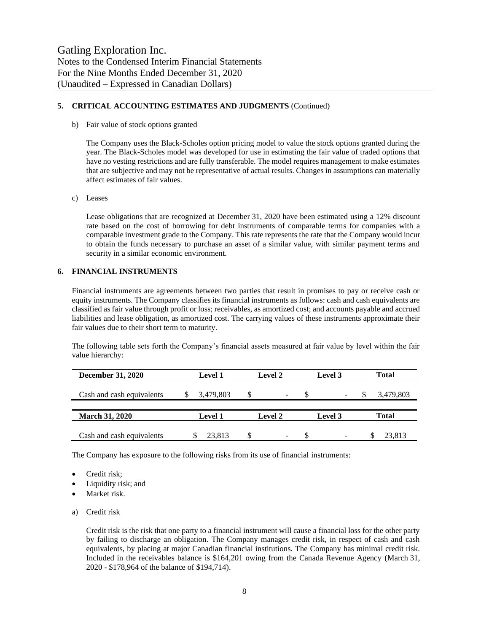#### **5. CRITICAL ACCOUNTING ESTIMATES AND JUDGMENTS** (Continued)

b) Fair value of stock options granted

The Company uses the Black-Scholes option pricing model to value the stock options granted during the year. The Black-Scholes model was developed for use in estimating the fair value of traded options that have no vesting restrictions and are fully transferable. The model requires management to make estimates that are subjective and may not be representative of actual results. Changes in assumptions can materially affect estimates of fair values.

c) Leases

Lease obligations that are recognized at December 31, 2020 have been estimated using a 12% discount rate based on the cost of borrowing for debt instruments of comparable terms for companies with a comparable investment grade to the Company. This rate represents the rate that the Company would incur to obtain the funds necessary to purchase an asset of a similar value, with similar payment terms and security in a similar economic environment.

#### **6. FINANCIAL INSTRUMENTS**

Financial instruments are agreements between two parties that result in promises to pay or receive cash or equity instruments. The Company classifies its financial instruments as follows: cash and cash equivalents are classified as fair value through profit or loss; receivables, as amortized cost; and accounts payable and accrued liabilities and lease obligation, as amortized cost. The carrying values of these instruments approximate their fair values due to their short term to maturity.

The following table sets forth the Company's financial assets measured at fair value by level within the fair value hierarchy:

| <b>December 31, 2020</b>  | <b>Level 1</b> |    | <b>Level 2</b>           |     | Level 3                  |   | Total     |
|---------------------------|----------------|----|--------------------------|-----|--------------------------|---|-----------|
| Cash and cash equivalents | 3,479,803      | S  | $\overline{\phantom{a}}$ | \$. | $\overline{\phantom{0}}$ | У | 3,479,803 |
|                           |                |    |                          |     |                          |   |           |
| <b>March 31, 2020</b>     | <b>Level 1</b> |    | Level 2<br>Level 3       |     |                          |   | Total     |
| Cash and cash equivalents | 23.813         | \$ | $\overline{\phantom{a}}$ |     | $\overline{\phantom{m}}$ |   | 23.813    |

The Company has exposure to the following risks from its use of financial instruments:

- Credit risk;
- Liquidity risk; and
- Market risk.
- a) Credit risk

Credit risk is the risk that one party to a financial instrument will cause a financial loss for the other party by failing to discharge an obligation. The Company manages credit risk, in respect of cash and cash equivalents, by placing at major Canadian financial institutions. The Company has minimal credit risk. Included in the receivables balance is \$164,201 owing from the Canada Revenue Agency (March 31, 2020 - \$178,964 of the balance of \$194,714).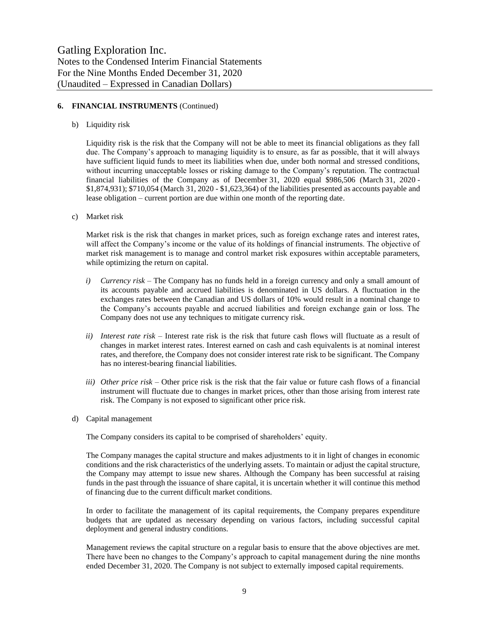#### **6. FINANCIAL INSTRUMENTS** (Continued)

b) Liquidity risk

Liquidity risk is the risk that the Company will not be able to meet its financial obligations as they fall due. The Company's approach to managing liquidity is to ensure, as far as possible, that it will always have sufficient liquid funds to meet its liabilities when due, under both normal and stressed conditions, without incurring unacceptable losses or risking damage to the Company's reputation. The contractual financial liabilities of the Company as of December 31, 2020 equal \$986,506 (March 31, 2020 - \$1,874,931); \$710,054 (March 31, 2020 - \$1,623,364) of the liabilities presented as accounts payable and lease obligation – current portion are due within one month of the reporting date.

c) Market risk

Market risk is the risk that changes in market prices, such as foreign exchange rates and interest rates, will affect the Company's income or the value of its holdings of financial instruments. The objective of market risk management is to manage and control market risk exposures within acceptable parameters, while optimizing the return on capital.

- *i) Currency risk –* The Company has no funds held in a foreign currency and only a small amount of its accounts payable and accrued liabilities is denominated in US dollars. A fluctuation in the exchanges rates between the Canadian and US dollars of 10% would result in a nominal change to the Company's accounts payable and accrued liabilities and foreign exchange gain or loss. The Company does not use any techniques to mitigate currency risk.
- *ii) Interest rate risk –* Interest rate risk is the risk that future cash flows will fluctuate as a result of changes in market interest rates. Interest earned on cash and cash equivalents is at nominal interest rates, and therefore, the Company does not consider interest rate risk to be significant. The Company has no interest-bearing financial liabilities.
- *iii) Other price risk –* Other price risk is the risk that the fair value or future cash flows of a financial instrument will fluctuate due to changes in market prices, other than those arising from interest rate risk. The Company is not exposed to significant other price risk.
- d) Capital management

The Company considers its capital to be comprised of shareholders' equity.

The Company manages the capital structure and makes adjustments to it in light of changes in economic conditions and the risk characteristics of the underlying assets. To maintain or adjust the capital structure, the Company may attempt to issue new shares. Although the Company has been successful at raising funds in the past through the issuance of share capital, it is uncertain whether it will continue this method of financing due to the current difficult market conditions.

In order to facilitate the management of its capital requirements, the Company prepares expenditure budgets that are updated as necessary depending on various factors, including successful capital deployment and general industry conditions.

Management reviews the capital structure on a regular basis to ensure that the above objectives are met. There have been no changes to the Company's approach to capital management during the nine months ended December 31, 2020. The Company is not subject to externally imposed capital requirements.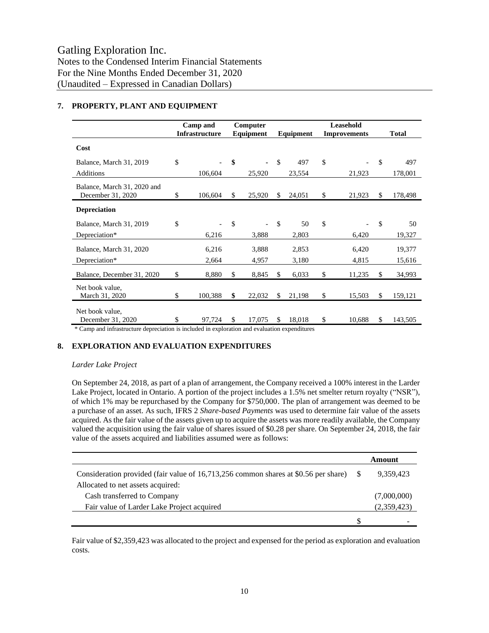|                                                  | Camp and<br><b>Infrastructure</b> | Computer<br>Equipment |        | Equipment     |        | Leasehold<br><b>Improvements</b> |        |     | <b>Total</b> |
|--------------------------------------------------|-----------------------------------|-----------------------|--------|---------------|--------|----------------------------------|--------|-----|--------------|
| Cost                                             |                                   |                       |        |               |        |                                  |        |     |              |
| Balance, March 31, 2019                          | \$                                | \$                    |        | \$            | 497    | \$                               |        | \$  | 497          |
| Additions                                        | 106,604                           |                       | 25,920 |               | 23,554 |                                  | 21,923 |     | 178,001      |
| Balance, March 31, 2020 and<br>December 31, 2020 | \$<br>106,604                     | \$                    | 25,920 | \$            | 24,051 | \$                               | 21,923 | \$. | 178,498      |
| <b>Depreciation</b>                              |                                   |                       |        |               |        |                                  |        |     |              |
| Balance, March 31, 2019                          | \$                                | \$                    |        | $\mathcal{S}$ | 50     | \$                               |        | \$  | 50           |
| Depreciation*                                    | 6,216                             |                       | 3,888  |               | 2,803  |                                  | 6,420  |     | 19,327       |
| Balance, March 31, 2020                          | 6,216                             |                       | 3,888  |               | 2,853  |                                  | 6,420  |     | 19,377       |
| Depreciation*                                    | 2,664                             |                       | 4,957  |               | 3,180  |                                  | 4,815  |     | 15,616       |
| Balance, December 31, 2020                       | \$<br>8,880                       | \$                    | 8,845  | \$            | 6,033  | \$                               | 11,235 | \$  | 34,993       |
| Net book value,<br>March 31, 2020                | \$<br>100,388                     | \$                    | 22,032 | \$            | 21,198 | \$                               | 15,503 | \$  | 159,121      |
| Net book value.<br>December 31, 2020             | \$<br>97,724                      | \$                    | 17,075 | \$            | 18,018 | \$                               | 10,688 | \$  | 143,505      |

#### **7. PROPERTY, PLANT AND EQUIPMENT**

\* Camp and infrastructure depreciation is included in exploration and evaluation expenditures

#### **8. EXPLORATION AND EVALUATION EXPENDITURES**

#### *Larder Lake Project*

On September 24, 2018, as part of a plan of arrangement, the Company received a 100% interest in the Larder Lake Project, located in Ontario. A portion of the project includes a 1.5% net smelter return royalty ("NSR"), of which 1% may be repurchased by the Company for \$750,000. The plan of arrangement was deemed to be a purchase of an asset. As such, IFRS 2 *Share-based Payments* was used to determine fair value of the assets acquired. As the fair value of the assets given up to acquire the assets was more readily available, the Company valued the acquisition using the fair value of shares issued of \$0.28 per share. On September 24, 2018, the fair value of the assets acquired and liabilities assumed were as follows:

|                                                                                     | Amount      |
|-------------------------------------------------------------------------------------|-------------|
| Consideration provided (fair value of 16,713,256 common shares at \$0.56 per share) | 9.359.423   |
| Allocated to net assets acquired:                                                   |             |
| Cash transferred to Company                                                         | (7,000,000) |
| Fair value of Larder Lake Project acquired                                          | (2,359,423) |
|                                                                                     |             |

Fair value of \$2,359,423 was allocated to the project and expensed for the period as exploration and evaluation costs.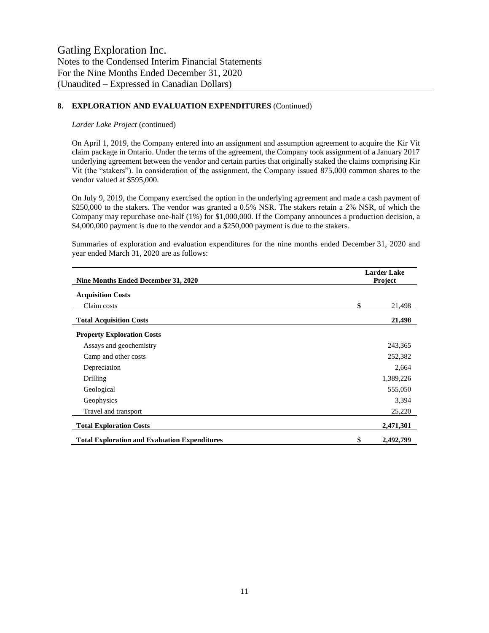#### **8. EXPLORATION AND EVALUATION EXPENDITURES** (Continued)

#### *Larder Lake Project* (continued)

On April 1, 2019, the Company entered into an assignment and assumption agreement to acquire the Kir Vit claim package in Ontario. Under the terms of the agreement, the Company took assignment of a January 2017 underlying agreement between the vendor and certain parties that originally staked the claims comprising Kir Vit (the "stakers"). In consideration of the assignment, the Company issued 875,000 common shares to the vendor valued at \$595,000.

On July 9, 2019, the Company exercised the option in the underlying agreement and made a cash payment of \$250,000 to the stakers. The vendor was granted a 0.5% NSR. The stakers retain a 2% NSR, of which the Company may repurchase one-half (1%) for \$1,000,000. If the Company announces a production decision, a \$4,000,000 payment is due to the vendor and a \$250,000 payment is due to the stakers.

| Nine Months Ended December 31, 2020                  | <b>Larder Lake</b><br>Project |           |  |  |
|------------------------------------------------------|-------------------------------|-----------|--|--|
| <b>Acquisition Costs</b>                             |                               |           |  |  |
| Claim costs                                          | \$                            | 21,498    |  |  |
| <b>Total Acquisition Costs</b>                       |                               | 21,498    |  |  |
| <b>Property Exploration Costs</b>                    |                               |           |  |  |
| Assays and geochemistry                              |                               | 243,365   |  |  |
| Camp and other costs                                 |                               | 252,382   |  |  |
| Depreciation                                         |                               | 2,664     |  |  |
| Drilling                                             |                               | 1,389,226 |  |  |
| Geological                                           |                               | 555,050   |  |  |
| Geophysics                                           |                               | 3,394     |  |  |
| Travel and transport                                 |                               | 25,220    |  |  |
| <b>Total Exploration Costs</b>                       |                               | 2,471,301 |  |  |
| <b>Total Exploration and Evaluation Expenditures</b> | \$                            | 2,492,799 |  |  |

Summaries of exploration and evaluation expenditures for the nine months ended December 31, 2020 and year ended March 31, 2020 are as follows: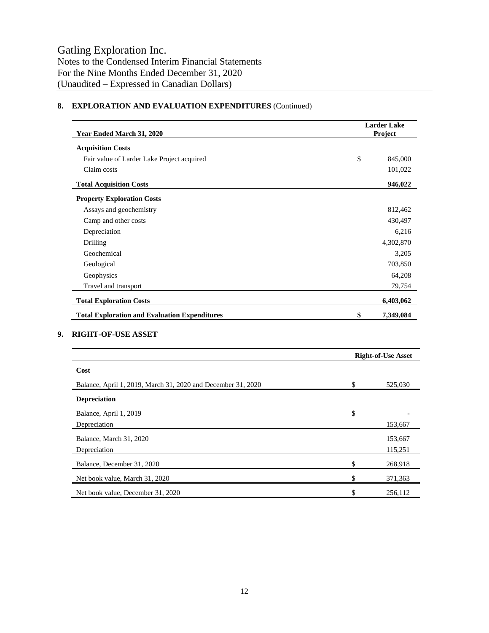### **8. EXPLORATION AND EVALUATION EXPENDITURES** (Continued)

| Year Ended March 31, 2020                                    | <b>Larder Lake</b><br>Project |
|--------------------------------------------------------------|-------------------------------|
| <b>Acquisition Costs</b>                                     |                               |
| Fair value of Larder Lake Project acquired                   | \$<br>845,000                 |
| Claim costs                                                  | 101,022                       |
| <b>Total Acquisition Costs</b>                               | 946,022                       |
| <b>Property Exploration Costs</b>                            |                               |
| Assays and geochemistry                                      | 812,462                       |
| Camp and other costs                                         | 430,497                       |
| Depreciation                                                 | 6,216                         |
| Drilling                                                     | 4,302,870                     |
| Geochemical                                                  | 3,205                         |
| Geological                                                   | 703,850                       |
| Geophysics                                                   | 64,208                        |
| Travel and transport                                         | 79,754                        |
| <b>Total Exploration Costs</b>                               | 6,403,062                     |
| <b>Total Exploration and Evaluation Expenditures</b>         | \$<br>7,349,084               |
| <b>RIGHT-OF-USE ASSET</b>                                    |                               |
|                                                              | <b>Right-of-Use Asset</b>     |
| Cost                                                         |                               |
| Balance, April 1, 2019, March 31, 2020 and December 31, 2020 | \$<br>525,030                 |
| <b>Depreciation</b>                                          |                               |
|                                                              |                               |

| Balance, April 1, 2019            | \$            |
|-----------------------------------|---------------|
| Depreciation                      | 153,667       |
| Balance, March 31, 2020           | 153,667       |
| Depreciation                      | 115,251       |
| Balance, December 31, 2020        | \$<br>268,918 |
| Net book value, March 31, 2020    | \$<br>371,363 |
| Net book value, December 31, 2020 | \$<br>256,112 |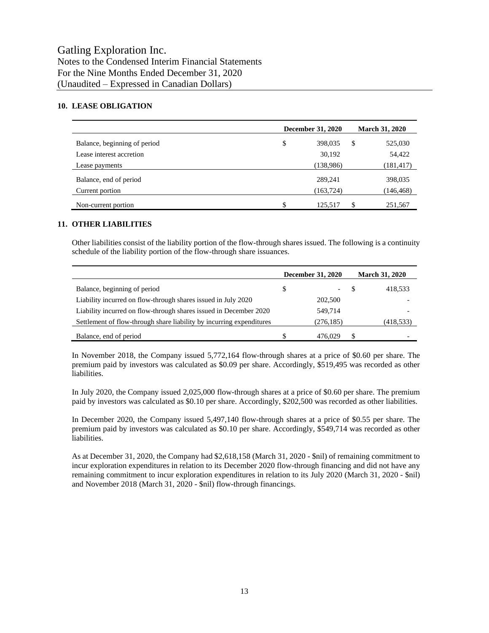#### **10. LEASE OBLIGATION**

|                              | <b>December 31, 2020</b> | <b>March 31, 2020</b> |
|------------------------------|--------------------------|-----------------------|
| Balance, beginning of period | \$<br>398,035            | \$<br>525,030         |
| Lease interest accretion     | 30,192                   | 54,422                |
| Lease payments               | (138,986)                | (181, 417)            |
| Balance, end of period       | 289,241                  | 398,035               |
| Current portion              | (163, 724)               | (146, 468)            |
| Non-current portion          | \$<br>125.517            | 251,567               |

#### **11. OTHER LIABILITIES**

Other liabilities consist of the liability portion of the flow-through shares issued. The following is a continuity schedule of the liability portion of the flow-through share issuances.

|                                                                      | <b>December 31, 2020</b> |            | <b>March 31, 2020</b> |            |
|----------------------------------------------------------------------|--------------------------|------------|-----------------------|------------|
| Balance, beginning of period                                         | \$                       |            |                       | 418,533    |
| Liability incurred on flow-through shares issued in July 2020        |                          | 202,500    |                       |            |
| Liability incurred on flow-through shares issued in December 2020    |                          | 549.714    |                       |            |
| Settlement of flow-through share liability by incurring expenditures |                          | (276, 185) |                       | (418, 533) |
| Balance, end of period                                               |                          | 476,029    |                       |            |

In November 2018, the Company issued 5,772,164 flow-through shares at a price of \$0.60 per share. The premium paid by investors was calculated as \$0.09 per share. Accordingly, \$519,495 was recorded as other liabilities.

In July 2020, the Company issued 2,025,000 flow-through shares at a price of \$0.60 per share. The premium paid by investors was calculated as \$0.10 per share. Accordingly, \$202,500 was recorded as other liabilities.

In December 2020, the Company issued 5,497,140 flow-through shares at a price of \$0.55 per share. The premium paid by investors was calculated as \$0.10 per share. Accordingly, \$549,714 was recorded as other liabilities.

As at December 31, 2020, the Company had \$2,618,158 (March 31, 2020 - \$nil) of remaining commitment to incur exploration expenditures in relation to its December 2020 flow-through financing and did not have any remaining commitment to incur exploration expenditures in relation to its July 2020 (March 31, 2020 - \$nil) and November 2018 (March 31, 2020 - \$nil) flow-through financings.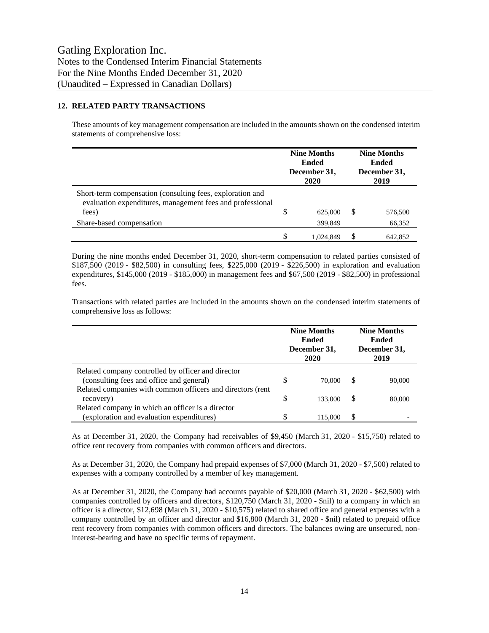#### **12. RELATED PARTY TRANSACTIONS**

These amounts of key management compensation are included in the amounts shown on the condensed interim statements of comprehensive loss:

|                                                                                                                                 | <b>Nine Months</b><br><b>Ended</b><br>December 31,<br>2020 |           | <b>Nine Months</b><br><b>Ended</b><br>December 31,<br>2019 |         |
|---------------------------------------------------------------------------------------------------------------------------------|------------------------------------------------------------|-----------|------------------------------------------------------------|---------|
| Short-term compensation (consulting fees, exploration and<br>evaluation expenditures, management fees and professional<br>fees) | \$<br>625,000                                              |           | \$.                                                        | 576,500 |
| Share-based compensation                                                                                                        |                                                            | 399,849   |                                                            | 66,352  |
|                                                                                                                                 | \$                                                         | 1.024.849 | \$.                                                        | 642.852 |

During the nine months ended December 31, 2020, short-term compensation to related parties consisted of \$187,500 (2019 - \$82,500) in consulting fees, \$225,000 (2019 - \$226,500) in exploration and evaluation expenditures, \$145,000 (2019 - \$185,000) in management fees and \$67,500 (2019 - \$82,500) in professional fees.

Transactions with related parties are included in the amounts shown on the condensed interim statements of comprehensive loss as follows:

|                                                            | <b>Nine Months</b><br><b>Ended</b><br>December 31,<br>2020 |         | <b>Nine Months</b><br><b>Ended</b><br>December 31,<br>2019 |        |
|------------------------------------------------------------|------------------------------------------------------------|---------|------------------------------------------------------------|--------|
| Related company controlled by officer and director         |                                                            |         |                                                            |        |
| (consulting fees and office and general)                   | \$                                                         | 70,000  | S                                                          | 90,000 |
| Related companies with common officers and directors (rent |                                                            |         |                                                            |        |
| recovery)                                                  | \$                                                         | 133,000 | \$.                                                        | 80,000 |
| Related company in which an officer is a director          |                                                            |         |                                                            |        |
| (exploration and evaluation expenditures)                  | \$                                                         | 115.000 | S                                                          |        |

As at December 31, 2020, the Company had receivables of \$9,450 (March 31, 2020 - \$15,750) related to office rent recovery from companies with common officers and directors.

As at December 31, 2020, the Company had prepaid expenses of \$7,000 (March 31, 2020 - \$7,500) related to expenses with a company controlled by a member of key management.

As at December 31, 2020, the Company had accounts payable of \$20,000 (March 31, 2020 - \$62,500) with companies controlled by officers and directors, \$120,750 (March 31, 2020 - \$nil) to a company in which an officer is a director, \$12,698 (March 31, 2020 - \$10,575) related to shared office and general expenses with a company controlled by an officer and director and \$16,800 (March 31, 2020 - \$nil) related to prepaid office rent recovery from companies with common officers and directors. The balances owing are unsecured, noninterest-bearing and have no specific terms of repayment.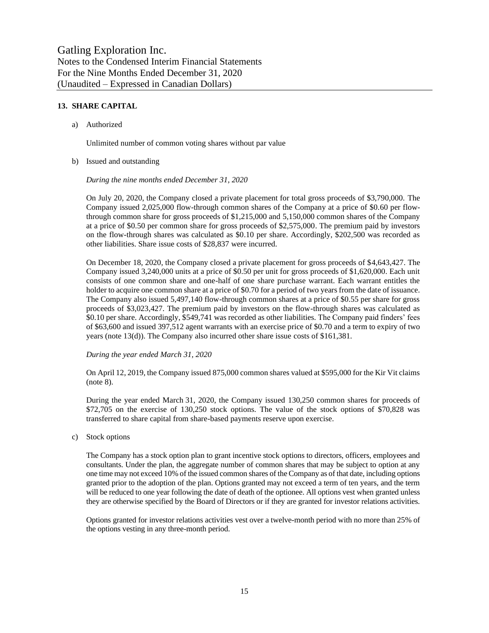#### **13. SHARE CAPITAL**

a) Authorized

Unlimited number of common voting shares without par value

b) Issued and outstanding

*During the nine months ended December 31, 2020*

On July 20, 2020, the Company closed a private placement for total gross proceeds of \$3,790,000. The Company issued 2,025,000 flow-through common shares of the Company at a price of \$0.60 per flowthrough common share for gross proceeds of \$1,215,000 and 5,150,000 common shares of the Company at a price of \$0.50 per common share for gross proceeds of \$2,575,000. The premium paid by investors on the flow-through shares was calculated as \$0.10 per share. Accordingly, \$202,500 was recorded as other liabilities. Share issue costs of \$28,837 were incurred.

On December 18, 2020, the Company closed a private placement for gross proceeds of \$4,643,427. The Company issued 3,240,000 units at a price of \$0.50 per unit for gross proceeds of \$1,620,000. Each unit consists of one common share and one-half of one share purchase warrant. Each warrant entitles the holder to acquire one common share at a price of \$0.70 for a period of two years from the date of issuance. The Company also issued 5,497,140 flow-through common shares at a price of \$0.55 per share for gross proceeds of \$3,023,427. The premium paid by investors on the flow-through shares was calculated as \$0.10 per share. Accordingly, \$549,741 was recorded as other liabilities. The Company paid finders' fees of \$63,600 and issued 397,512 agent warrants with an exercise price of \$0.70 and a term to expiry of two years (note 13(d)). The Company also incurred other share issue costs of \$161,381.

#### *During the year ended March 31, 2020*

On April 12, 2019, the Company issued 875,000 common shares valued at \$595,000 for the Kir Vit claims (note 8).

During the year ended March 31, 2020, the Company issued 130,250 common shares for proceeds of \$72,705 on the exercise of 130,250 stock options. The value of the stock options of \$70,828 was transferred to share capital from share-based payments reserve upon exercise.

c) Stock options

The Company has a stock option plan to grant incentive stock options to directors, officers, employees and consultants. Under the plan, the aggregate number of common shares that may be subject to option at any one time may not exceed 10% of the issued common shares of the Company as of that date, including options granted prior to the adoption of the plan. Options granted may not exceed a term of ten years, and the term will be reduced to one year following the date of death of the optionee. All options vest when granted unless they are otherwise specified by the Board of Directors or if they are granted for investor relations activities.

Options granted for investor relations activities vest over a twelve-month period with no more than 25% of the options vesting in any three-month period.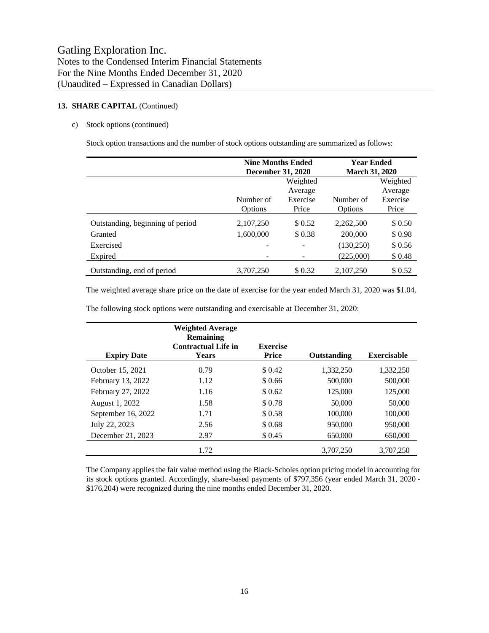#### 13. **SHARE CAPITAL** (Continued)

#### c) Stock options (continued)

Stock option transactions and the number of stock options outstanding are summarized as follows:

|                                  | <b>Nine Months Ended</b> |          | <b>Year Ended</b>     |          |
|----------------------------------|--------------------------|----------|-----------------------|----------|
|                                  | <b>December 31, 2020</b> |          | <b>March 31, 2020</b> |          |
|                                  | Weighted                 |          |                       | Weighted |
|                                  |                          | Average  |                       | Average  |
|                                  | Number of                | Exercise | Number of             | Exercise |
|                                  | Options                  | Price    | Options               | Price    |
| Outstanding, beginning of period | 2,107,250                | \$ 0.52  | 2,262,500             | \$ 0.50  |
| Granted                          | 1,600,000                | \$0.38   | 200,000               | \$0.98   |
| Exercised                        |                          |          | (130,250)             | \$0.56   |
| Expired                          |                          |          | (225,000)             | \$0.48   |
| Outstanding, end of period       | 3,707,250                | \$0.32   | 2,107,250             | \$ 0.52  |

The weighted average share price on the date of exercise for the year ended March 31, 2020 was \$1.04.

The following stock options were outstanding and exercisable at December 31, 2020:

| <b>Expiry Date</b> | <b>Weighted Average</b><br>Remaining<br><b>Contractual Life in</b><br><b>Years</b> | <b>Exercise</b><br><b>Price</b> | Outstanding | <b>Exercisable</b> |
|--------------------|------------------------------------------------------------------------------------|---------------------------------|-------------|--------------------|
| October 15, 2021   | 0.79                                                                               | \$ 0.42                         | 1,332,250   | 1,332,250          |
| February 13, 2022  | 1.12                                                                               | \$0.66                          | 500,000     | 500,000            |
| February 27, 2022  | 1.16                                                                               | \$ 0.62                         | 125,000     | 125,000            |
| August 1, 2022     | 1.58                                                                               | \$0.78                          | 50,000      | 50,000             |
| September 16, 2022 | 1.71                                                                               | \$0.58                          | 100,000     | 100,000            |
| July 22, 2023      | 2.56                                                                               | \$0.68                          | 950,000     | 950,000            |
| December 21, 2023  | 2.97                                                                               | \$ 0.45                         | 650,000     | 650,000            |
|                    | 1.72                                                                               |                                 | 3.707.250   | 3.707.250          |

The Company applies the fair value method using the Black-Scholes option pricing model in accounting for its stock options granted. Accordingly, share-based payments of \$797,356 (year ended March 31, 2020 - \$176,204) were recognized during the nine months ended December 31, 2020.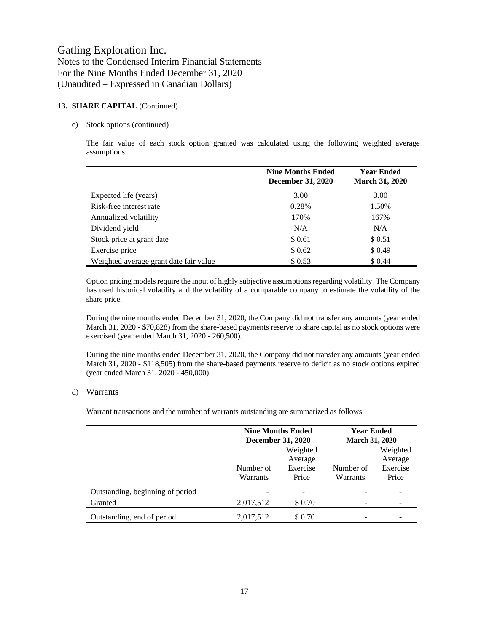#### 13. **SHARE CAPITAL** (Continued)

#### c) Stock options (continued)

The fair value of each stock option granted was calculated using the following weighted average assumptions:

|                                        | <b>Nine Months Ended</b><br><b>December 31, 2020</b> | <b>Year Ended</b><br><b>March 31, 2020</b> |
|----------------------------------------|------------------------------------------------------|--------------------------------------------|
| Expected life (years)                  | 3.00                                                 | 3.00                                       |
| Risk-free interest rate                | 0.28%                                                | 1.50%                                      |
| Annualized volatility                  | 170%                                                 | 167%                                       |
| Dividend yield                         | N/A                                                  | N/A                                        |
| Stock price at grant date              | \$0.61                                               | \$ 0.51                                    |
| Exercise price                         | \$0.62                                               | \$0.49                                     |
| Weighted average grant date fair value | \$ 0.53                                              | \$ 0.44                                    |

Option pricing models require the input of highly subjective assumptions regarding volatility. The Company has used historical volatility and the volatility of a comparable company to estimate the volatility of the share price.

During the nine months ended December 31, 2020, the Company did not transfer any amounts (year ended March 31, 2020 - \$70,828) from the share-based payments reserve to share capital as no stock options were exercised (year ended March 31, 2020 - 260,500).

During the nine months ended December 31, 2020, the Company did not transfer any amounts (year ended March 31, 2020 - \$118,505) from the share-based payments reserve to deficit as no stock options expired (year ended March 31, 2020 - 450,000).

#### d) Warrants

Warrant transactions and the number of warrants outstanding are summarized as follows:

|                                  | <b>Nine Months Ended</b><br><b>December 31, 2020</b> |          | <b>Year Ended</b><br><b>March 31, 2020</b> |                     |
|----------------------------------|------------------------------------------------------|----------|--------------------------------------------|---------------------|
|                                  | Weighted<br>Average                                  |          |                                            | Weighted<br>Average |
|                                  | Number of                                            | Exercise | Number of                                  | Exercise            |
|                                  | Warrants                                             | Price    | Warrants                                   | Price               |
| Outstanding, beginning of period |                                                      |          |                                            |                     |
| Granted                          | 2,017,512                                            | \$0.70   |                                            |                     |
| Outstanding, end of period       | 2,017,512                                            | \$ 0.70  |                                            |                     |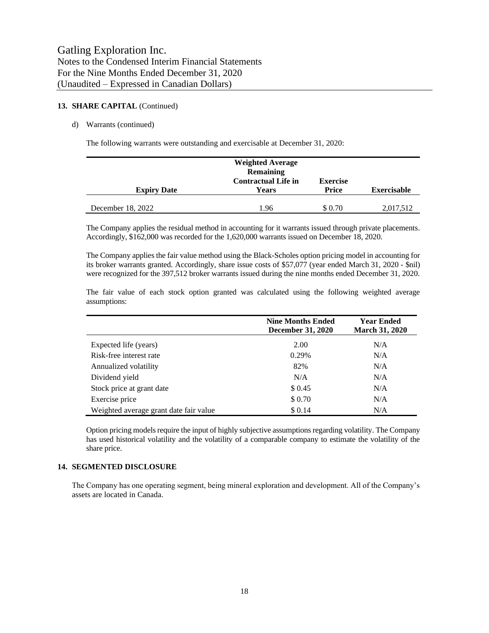#### **13. SHARE CAPITAL** (Continued)

#### d) Warrants (continued)

The following warrants were outstanding and exercisable at December 31, 2020:

| <b>Expiry Date</b> | <b>Weighted Average</b><br><b>Remaining</b><br><b>Contractual Life in</b><br>Years | <b>Exercise</b><br><b>Price</b> | <b>Exercisable</b> |
|--------------------|------------------------------------------------------------------------------------|---------------------------------|--------------------|
| December 18, 2022  | 1.96                                                                               | \$ 0.70                         | 2,017,512          |

The Company applies the residual method in accounting for it warrants issued through private placements. Accordingly, \$162,000 was recorded for the 1,620,000 warrants issued on December 18, 2020.

The Company applies the fair value method using the Black-Scholes option pricing model in accounting for its broker warrants granted. Accordingly, share issue costs of \$57,077 (year ended March 31, 2020 - \$nil) were recognized for the 397,512 broker warrants issued during the nine months ended December 31, 2020.

|                           | <b>Nine Months Ended</b><br><b>December 31, 2020</b> | <b>Year Ended</b><br><b>March 31, 2020</b> |
|---------------------------|------------------------------------------------------|--------------------------------------------|
| Expected life (years)     | 2.00                                                 | N/A                                        |
| Risk-free interest rate   | 0.29%                                                | N/A                                        |
| Annualized volatility     | 82%                                                  | N/A                                        |
| Dividend yield            | N/A                                                  | N/A                                        |
| Stock price at grant date | \$0.45                                               | N/A                                        |
| Exercise price            | \$0.70                                               | N/A                                        |

The fair value of each stock option granted was calculated using the following weighted average assumptions:

Option pricing models require the input of highly subjective assumptions regarding volatility. The Company has used historical volatility and the volatility of a comparable company to estimate the volatility of the share price.

Weighted average grant date fair value \$ 0.14 N/A

#### **14. SEGMENTED DISCLOSURE**

The Company has one operating segment, being mineral exploration and development. All of the Company's assets are located in Canada.